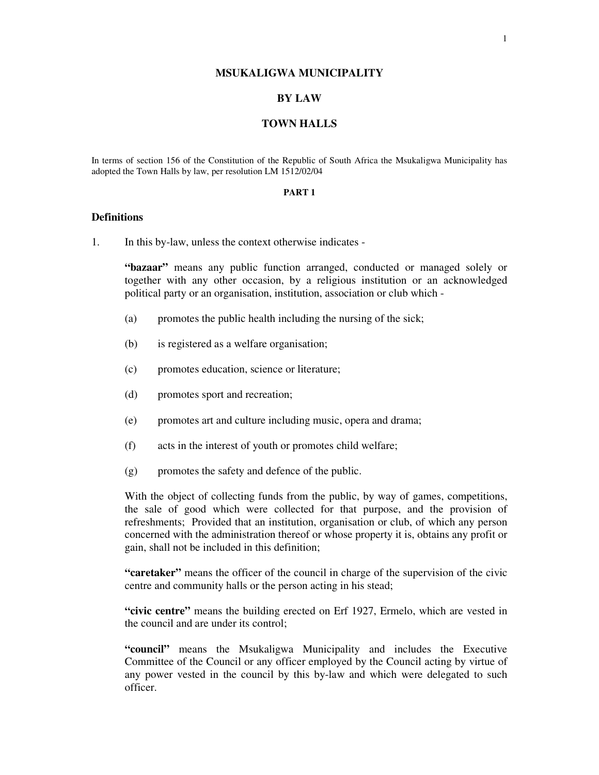#### **MSUKALIGWA MUNICIPALITY**

# **BY LAW**

#### **TOWN HALLS**

In terms of section 156 of the Constitution of the Republic of South Africa the Msukaligwa Municipality has adopted the Town Halls by law, per resolution LM 1512/02/04

#### **PART 1**

## **Definitions**

1. In this by-law, unless the context otherwise indicates -

**"bazaar"** means any public function arranged, conducted or managed solely or together with any other occasion, by a religious institution or an acknowledged political party or an organisation, institution, association or club which -

- (a) promotes the public health including the nursing of the sick;
- (b) is registered as a welfare organisation;
- (c) promotes education, science or literature;
- (d) promotes sport and recreation;
- (e) promotes art and culture including music, opera and drama;
- (f) acts in the interest of youth or promotes child welfare;
- (g) promotes the safety and defence of the public.

With the object of collecting funds from the public, by way of games, competitions, the sale of good which were collected for that purpose, and the provision of refreshments; Provided that an institution, organisation or club, of which any person concerned with the administration thereof or whose property it is, obtains any profit or gain, shall not be included in this definition;

**"caretaker"** means the officer of the council in charge of the supervision of the civic centre and community halls or the person acting in his stead;

**"civic centre"** means the building erected on Erf 1927, Ermelo, which are vested in the council and are under its control;

**"council"** means the Msukaligwa Municipality and includes the Executive Committee of the Council or any officer employed by the Council acting by virtue of any power vested in the council by this by-law and which were delegated to such officer.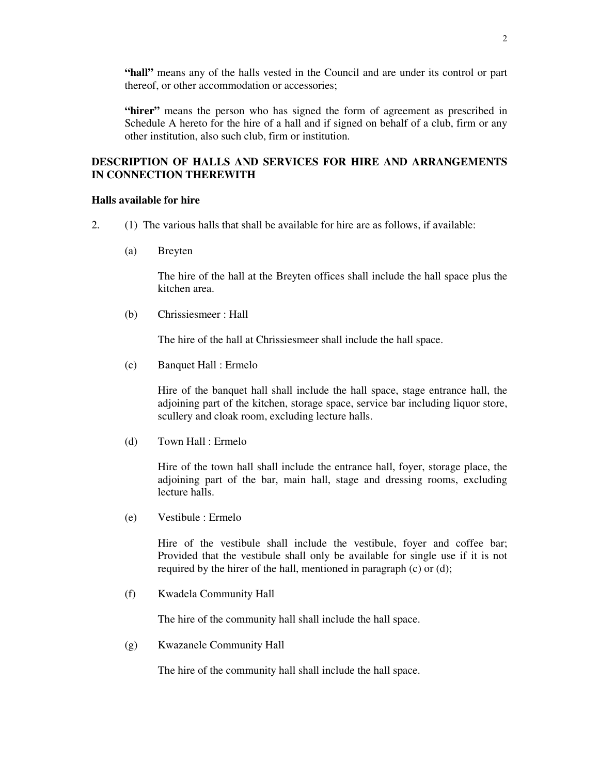**"hall"** means any of the halls vested in the Council and are under its control or part thereof, or other accommodation or accessories;

**"hirer"** means the person who has signed the form of agreement as prescribed in Schedule A hereto for the hire of a hall and if signed on behalf of a club, firm or any other institution, also such club, firm or institution.

# **DESCRIPTION OF HALLS AND SERVICES FOR HIRE AND ARRANGEMENTS IN CONNECTION THEREWITH**

## **Halls available for hire**

- 2. (1) The various halls that shall be available for hire are as follows, if available:
	- (a) Breyten

The hire of the hall at the Breyten offices shall include the hall space plus the kitchen area.

(b) Chrissiesmeer : Hall

The hire of the hall at Chrissiesmeer shall include the hall space.

(c) Banquet Hall : Ermelo

Hire of the banquet hall shall include the hall space, stage entrance hall, the adjoining part of the kitchen, storage space, service bar including liquor store, scullery and cloak room, excluding lecture halls.

(d) Town Hall : Ermelo

Hire of the town hall shall include the entrance hall, foyer, storage place, the adjoining part of the bar, main hall, stage and dressing rooms, excluding lecture halls.

(e) Vestibule : Ermelo

Hire of the vestibule shall include the vestibule, foyer and coffee bar; Provided that the vestibule shall only be available for single use if it is not required by the hirer of the hall, mentioned in paragraph (c) or (d);

(f) Kwadela Community Hall

The hire of the community hall shall include the hall space.

(g) Kwazanele Community Hall

The hire of the community hall shall include the hall space.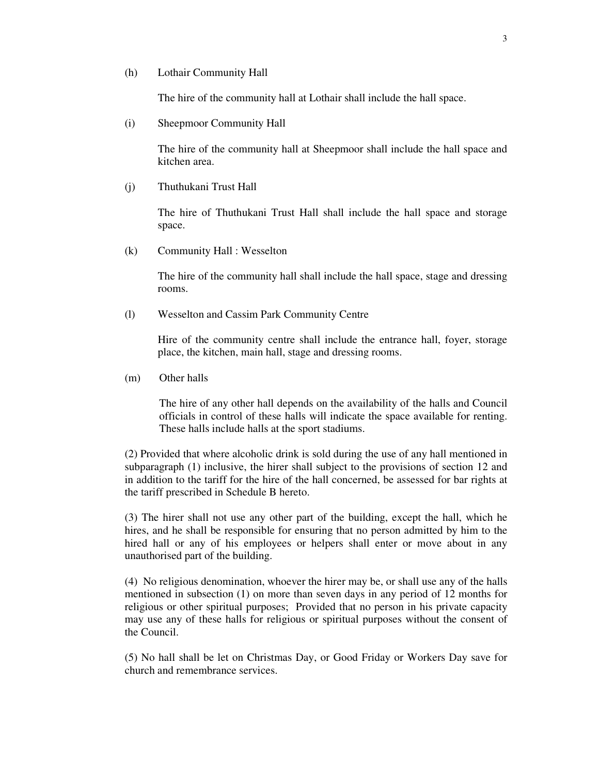(h) Lothair Community Hall

The hire of the community hall at Lothair shall include the hall space.

(i) Sheepmoor Community Hall

The hire of the community hall at Sheepmoor shall include the hall space and kitchen area.

(j) Thuthukani Trust Hall

The hire of Thuthukani Trust Hall shall include the hall space and storage space.

(k) Community Hall : Wesselton

The hire of the community hall shall include the hall space, stage and dressing rooms.

(l) Wesselton and Cassim Park Community Centre

Hire of the community centre shall include the entrance hall, foyer, storage place, the kitchen, main hall, stage and dressing rooms.

(m) Other halls

The hire of any other hall depends on the availability of the halls and Council officials in control of these halls will indicate the space available for renting. These halls include halls at the sport stadiums.

(2) Provided that where alcoholic drink is sold during the use of any hall mentioned in subparagraph (1) inclusive, the hirer shall subject to the provisions of section 12 and in addition to the tariff for the hire of the hall concerned, be assessed for bar rights at the tariff prescribed in Schedule B hereto.

(3) The hirer shall not use any other part of the building, except the hall, which he hires, and he shall be responsible for ensuring that no person admitted by him to the hired hall or any of his employees or helpers shall enter or move about in any unauthorised part of the building.

(4) No religious denomination, whoever the hirer may be, or shall use any of the halls mentioned in subsection (1) on more than seven days in any period of 12 months for religious or other spiritual purposes; Provided that no person in his private capacity may use any of these halls for religious or spiritual purposes without the consent of the Council.

(5) No hall shall be let on Christmas Day, or Good Friday or Workers Day save for church and remembrance services.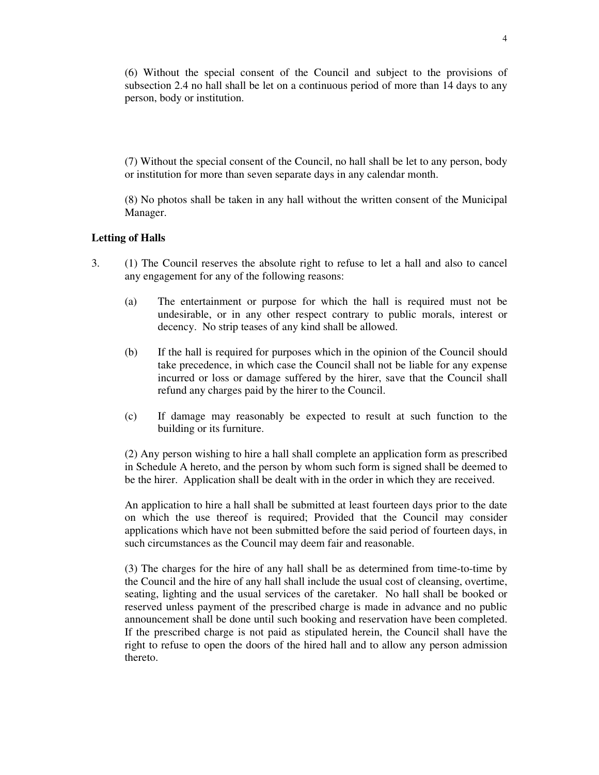(6) Without the special consent of the Council and subject to the provisions of subsection 2.4 no hall shall be let on a continuous period of more than 14 days to any person, body or institution.

(7) Without the special consent of the Council, no hall shall be let to any person, body or institution for more than seven separate days in any calendar month.

(8) No photos shall be taken in any hall without the written consent of the Municipal Manager.

#### **Letting of Halls**

- 3. (1) The Council reserves the absolute right to refuse to let a hall and also to cancel any engagement for any of the following reasons:
	- (a) The entertainment or purpose for which the hall is required must not be undesirable, or in any other respect contrary to public morals, interest or decency. No strip teases of any kind shall be allowed.
	- (b) If the hall is required for purposes which in the opinion of the Council should take precedence, in which case the Council shall not be liable for any expense incurred or loss or damage suffered by the hirer, save that the Council shall refund any charges paid by the hirer to the Council.
	- (c) If damage may reasonably be expected to result at such function to the building or its furniture.

(2) Any person wishing to hire a hall shall complete an application form as prescribed in Schedule A hereto, and the person by whom such form is signed shall be deemed to be the hirer. Application shall be dealt with in the order in which they are received.

An application to hire a hall shall be submitted at least fourteen days prior to the date on which the use thereof is required; Provided that the Council may consider applications which have not been submitted before the said period of fourteen days, in such circumstances as the Council may deem fair and reasonable.

(3) The charges for the hire of any hall shall be as determined from time-to-time by the Council and the hire of any hall shall include the usual cost of cleansing, overtime, seating, lighting and the usual services of the caretaker. No hall shall be booked or reserved unless payment of the prescribed charge is made in advance and no public announcement shall be done until such booking and reservation have been completed. If the prescribed charge is not paid as stipulated herein, the Council shall have the right to refuse to open the doors of the hired hall and to allow any person admission thereto.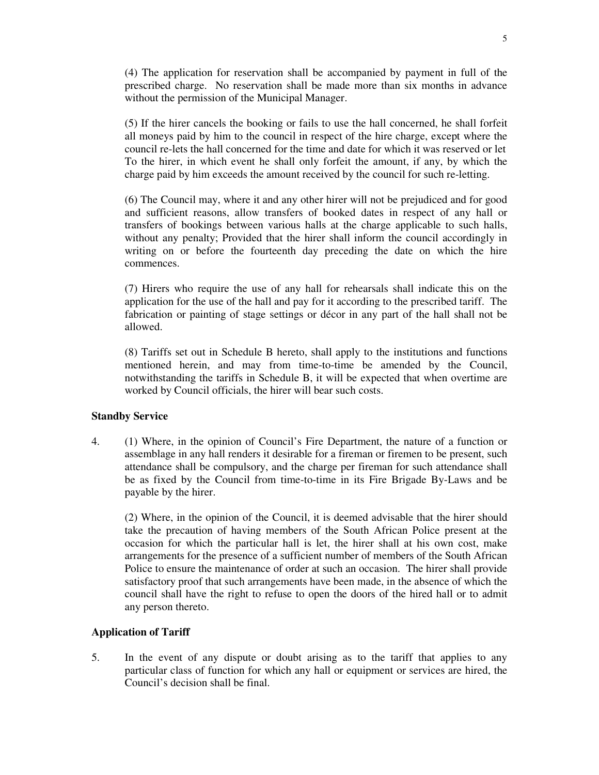(4) The application for reservation shall be accompanied by payment in full of the prescribed charge. No reservation shall be made more than six months in advance without the permission of the Municipal Manager.

(5) If the hirer cancels the booking or fails to use the hall concerned, he shall forfeit all moneys paid by him to the council in respect of the hire charge, except where the council re-lets the hall concerned for the time and date for which it was reserved or let To the hirer, in which event he shall only forfeit the amount, if any, by which the charge paid by him exceeds the amount received by the council for such re-letting.

(6) The Council may, where it and any other hirer will not be prejudiced and for good and sufficient reasons, allow transfers of booked dates in respect of any hall or transfers of bookings between various halls at the charge applicable to such halls, without any penalty; Provided that the hirer shall inform the council accordingly in writing on or before the fourteenth day preceding the date on which the hire commences.

(7) Hirers who require the use of any hall for rehearsals shall indicate this on the application for the use of the hall and pay for it according to the prescribed tariff. The fabrication or painting of stage settings or décor in any part of the hall shall not be allowed.

(8) Tariffs set out in Schedule B hereto, shall apply to the institutions and functions mentioned herein, and may from time-to-time be amended by the Council, notwithstanding the tariffs in Schedule B, it will be expected that when overtime are worked by Council officials, the hirer will bear such costs.

#### **Standby Service**

4. (1) Where, in the opinion of Council's Fire Department, the nature of a function or assemblage in any hall renders it desirable for a fireman or firemen to be present, such attendance shall be compulsory, and the charge per fireman for such attendance shall be as fixed by the Council from time-to-time in its Fire Brigade By-Laws and be payable by the hirer.

(2) Where, in the opinion of the Council, it is deemed advisable that the hirer should take the precaution of having members of the South African Police present at the occasion for which the particular hall is let, the hirer shall at his own cost, make arrangements for the presence of a sufficient number of members of the South African Police to ensure the maintenance of order at such an occasion. The hirer shall provide satisfactory proof that such arrangements have been made, in the absence of which the council shall have the right to refuse to open the doors of the hired hall or to admit any person thereto.

# **Application of Tariff**

5. In the event of any dispute or doubt arising as to the tariff that applies to any particular class of function for which any hall or equipment or services are hired, the Council's decision shall be final.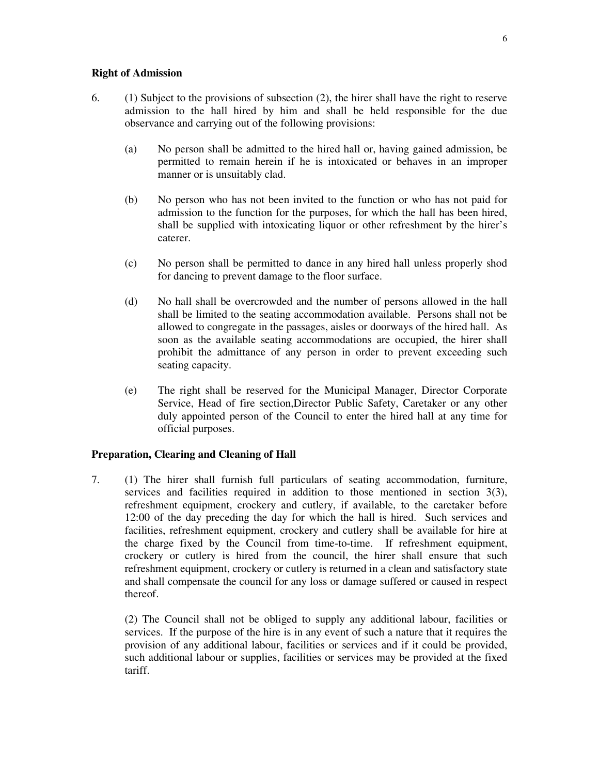#### **Right of Admission**

- 6. (1) Subject to the provisions of subsection (2), the hirer shall have the right to reserve admission to the hall hired by him and shall be held responsible for the due observance and carrying out of the following provisions:
	- (a) No person shall be admitted to the hired hall or, having gained admission, be permitted to remain herein if he is intoxicated or behaves in an improper manner or is unsuitably clad.
	- (b) No person who has not been invited to the function or who has not paid for admission to the function for the purposes, for which the hall has been hired, shall be supplied with intoxicating liquor or other refreshment by the hirer's caterer.
	- (c) No person shall be permitted to dance in any hired hall unless properly shod for dancing to prevent damage to the floor surface.
	- (d) No hall shall be overcrowded and the number of persons allowed in the hall shall be limited to the seating accommodation available. Persons shall not be allowed to congregate in the passages, aisles or doorways of the hired hall. As soon as the available seating accommodations are occupied, the hirer shall prohibit the admittance of any person in order to prevent exceeding such seating capacity.
	- (e) The right shall be reserved for the Municipal Manager, Director Corporate Service, Head of fire section,Director Public Safety, Caretaker or any other duly appointed person of the Council to enter the hired hall at any time for official purposes.

# **Preparation, Clearing and Cleaning of Hall**

7. (1) The hirer shall furnish full particulars of seating accommodation, furniture, services and facilities required in addition to those mentioned in section 3(3), refreshment equipment, crockery and cutlery, if available, to the caretaker before 12:00 of the day preceding the day for which the hall is hired. Such services and facilities, refreshment equipment, crockery and cutlery shall be available for hire at the charge fixed by the Council from time-to-time. If refreshment equipment, crockery or cutlery is hired from the council, the hirer shall ensure that such refreshment equipment, crockery or cutlery is returned in a clean and satisfactory state and shall compensate the council for any loss or damage suffered or caused in respect thereof.

(2) The Council shall not be obliged to supply any additional labour, facilities or services. If the purpose of the hire is in any event of such a nature that it requires the provision of any additional labour, facilities or services and if it could be provided, such additional labour or supplies, facilities or services may be provided at the fixed tariff.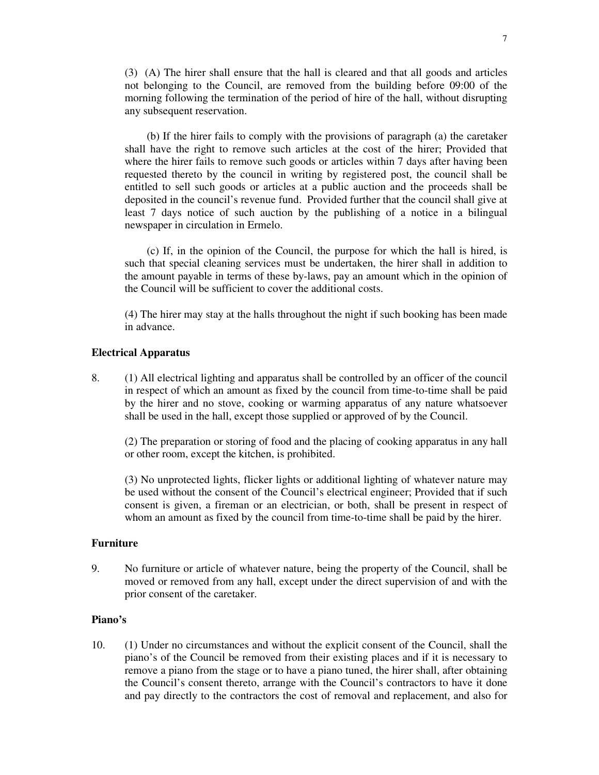(3) (A) The hirer shall ensure that the hall is cleared and that all goods and articles not belonging to the Council, are removed from the building before 09:00 of the morning following the termination of the period of hire of the hall, without disrupting any subsequent reservation.

(b) If the hirer fails to comply with the provisions of paragraph (a) the caretaker shall have the right to remove such articles at the cost of the hirer; Provided that where the hirer fails to remove such goods or articles within 7 days after having been requested thereto by the council in writing by registered post, the council shall be entitled to sell such goods or articles at a public auction and the proceeds shall be deposited in the council's revenue fund. Provided further that the council shall give at least 7 days notice of such auction by the publishing of a notice in a bilingual newspaper in circulation in Ermelo.

(c) If, in the opinion of the Council, the purpose for which the hall is hired, is such that special cleaning services must be undertaken, the hirer shall in addition to the amount payable in terms of these by-laws, pay an amount which in the opinion of the Council will be sufficient to cover the additional costs.

(4) The hirer may stay at the halls throughout the night if such booking has been made in advance.

#### **Electrical Apparatus**

8. (1) All electrical lighting and apparatus shall be controlled by an officer of the council in respect of which an amount as fixed by the council from time-to-time shall be paid by the hirer and no stove, cooking or warming apparatus of any nature whatsoever shall be used in the hall, except those supplied or approved of by the Council.

(2) The preparation or storing of food and the placing of cooking apparatus in any hall or other room, except the kitchen, is prohibited.

(3) No unprotected lights, flicker lights or additional lighting of whatever nature may be used without the consent of the Council's electrical engineer; Provided that if such consent is given, a fireman or an electrician, or both, shall be present in respect of whom an amount as fixed by the council from time-to-time shall be paid by the hirer.

# **Furniture**

9. No furniture or article of whatever nature, being the property of the Council, shall be moved or removed from any hall, except under the direct supervision of and with the prior consent of the caretaker.

## **Piano's**

10. (1) Under no circumstances and without the explicit consent of the Council, shall the piano's of the Council be removed from their existing places and if it is necessary to remove a piano from the stage or to have a piano tuned, the hirer shall, after obtaining the Council's consent thereto, arrange with the Council's contractors to have it done and pay directly to the contractors the cost of removal and replacement, and also for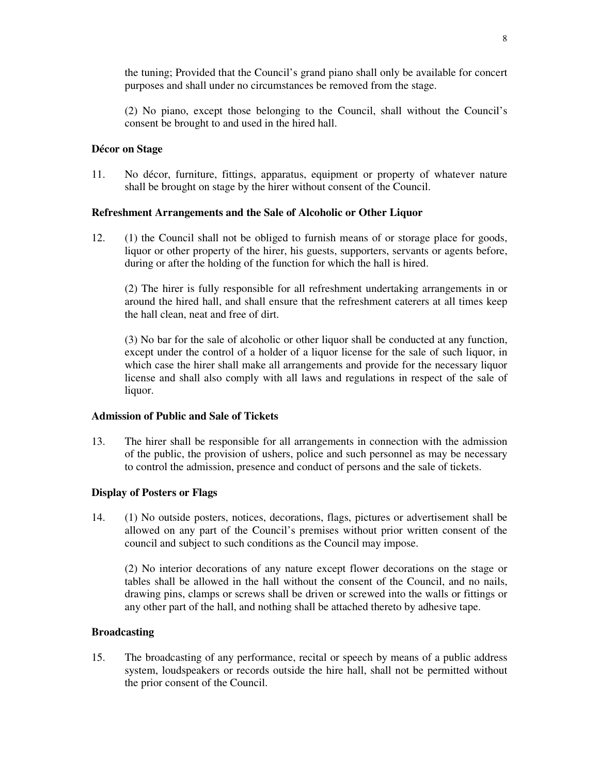the tuning; Provided that the Council's grand piano shall only be available for concert purposes and shall under no circumstances be removed from the stage.

(2) No piano, except those belonging to the Council, shall without the Council's consent be brought to and used in the hired hall.

# **Décor on Stage**

11. No décor, furniture, fittings, apparatus, equipment or property of whatever nature shall be brought on stage by the hirer without consent of the Council.

# **Refreshment Arrangements and the Sale of Alcoholic or Other Liquor**

12. (1) the Council shall not be obliged to furnish means of or storage place for goods, liquor or other property of the hirer, his guests, supporters, servants or agents before, during or after the holding of the function for which the hall is hired.

(2) The hirer is fully responsible for all refreshment undertaking arrangements in or around the hired hall, and shall ensure that the refreshment caterers at all times keep the hall clean, neat and free of dirt.

(3) No bar for the sale of alcoholic or other liquor shall be conducted at any function, except under the control of a holder of a liquor license for the sale of such liquor, in which case the hirer shall make all arrangements and provide for the necessary liquor license and shall also comply with all laws and regulations in respect of the sale of liquor.

# **Admission of Public and Sale of Tickets**

13. The hirer shall be responsible for all arrangements in connection with the admission of the public, the provision of ushers, police and such personnel as may be necessary to control the admission, presence and conduct of persons and the sale of tickets.

# **Display of Posters or Flags**

14. (1) No outside posters, notices, decorations, flags, pictures or advertisement shall be allowed on any part of the Council's premises without prior written consent of the council and subject to such conditions as the Council may impose.

(2) No interior decorations of any nature except flower decorations on the stage or tables shall be allowed in the hall without the consent of the Council, and no nails, drawing pins, clamps or screws shall be driven or screwed into the walls or fittings or any other part of the hall, and nothing shall be attached thereto by adhesive tape.

#### **Broadcasting**

15. The broadcasting of any performance, recital or speech by means of a public address system, loudspeakers or records outside the hire hall, shall not be permitted without the prior consent of the Council.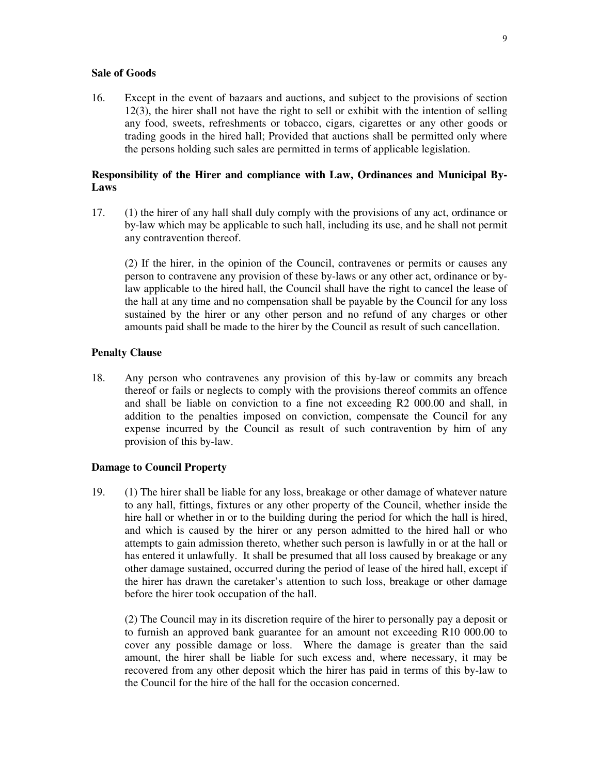#### **Sale of Goods**

16. Except in the event of bazaars and auctions, and subject to the provisions of section 12(3), the hirer shall not have the right to sell or exhibit with the intention of selling any food, sweets, refreshments or tobacco, cigars, cigarettes or any other goods or trading goods in the hired hall; Provided that auctions shall be permitted only where the persons holding such sales are permitted in terms of applicable legislation.

# **Responsibility of the Hirer and compliance with Law, Ordinances and Municipal By-Laws**

17. (1) the hirer of any hall shall duly comply with the provisions of any act, ordinance or by-law which may be applicable to such hall, including its use, and he shall not permit any contravention thereof.

(2) If the hirer, in the opinion of the Council, contravenes or permits or causes any person to contravene any provision of these by-laws or any other act, ordinance or bylaw applicable to the hired hall, the Council shall have the right to cancel the lease of the hall at any time and no compensation shall be payable by the Council for any loss sustained by the hirer or any other person and no refund of any charges or other amounts paid shall be made to the hirer by the Council as result of such cancellation.

# **Penalty Clause**

18. Any person who contravenes any provision of this by-law or commits any breach thereof or fails or neglects to comply with the provisions thereof commits an offence and shall be liable on conviction to a fine not exceeding R2 000.00 and shall, in addition to the penalties imposed on conviction, compensate the Council for any expense incurred by the Council as result of such contravention by him of any provision of this by-law.

#### **Damage to Council Property**

19. (1) The hirer shall be liable for any loss, breakage or other damage of whatever nature to any hall, fittings, fixtures or any other property of the Council, whether inside the hire hall or whether in or to the building during the period for which the hall is hired, and which is caused by the hirer or any person admitted to the hired hall or who attempts to gain admission thereto, whether such person is lawfully in or at the hall or has entered it unlawfully. It shall be presumed that all loss caused by breakage or any other damage sustained, occurred during the period of lease of the hired hall, except if the hirer has drawn the caretaker's attention to such loss, breakage or other damage before the hirer took occupation of the hall.

(2) The Council may in its discretion require of the hirer to personally pay a deposit or to furnish an approved bank guarantee for an amount not exceeding R10 000.00 to cover any possible damage or loss. Where the damage is greater than the said amount, the hirer shall be liable for such excess and, where necessary, it may be recovered from any other deposit which the hirer has paid in terms of this by-law to the Council for the hire of the hall for the occasion concerned.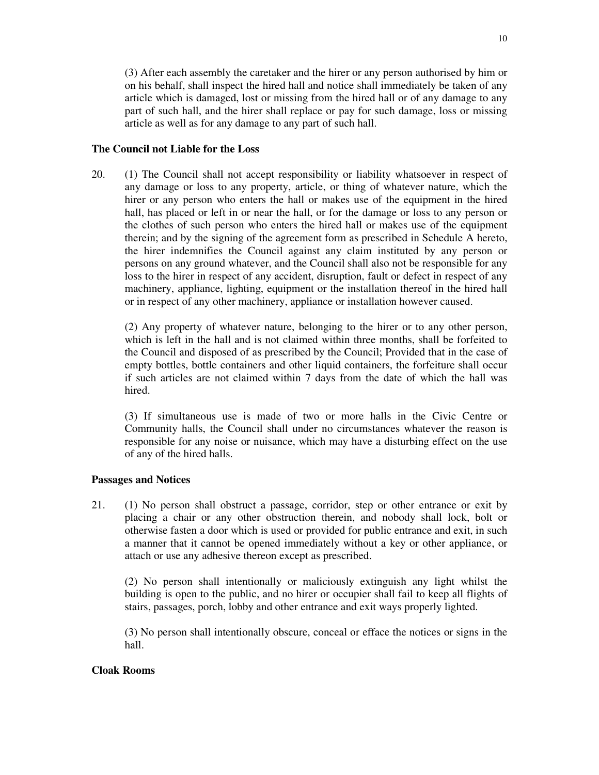(3) After each assembly the caretaker and the hirer or any person authorised by him or on his behalf, shall inspect the hired hall and notice shall immediately be taken of any article which is damaged, lost or missing from the hired hall or of any damage to any part of such hall, and the hirer shall replace or pay for such damage, loss or missing article as well as for any damage to any part of such hall.

#### **The Council not Liable for the Loss**

20. (1) The Council shall not accept responsibility or liability whatsoever in respect of any damage or loss to any property, article, or thing of whatever nature, which the hirer or any person who enters the hall or makes use of the equipment in the hired hall, has placed or left in or near the hall, or for the damage or loss to any person or the clothes of such person who enters the hired hall or makes use of the equipment therein; and by the signing of the agreement form as prescribed in Schedule A hereto, the hirer indemnifies the Council against any claim instituted by any person or persons on any ground whatever, and the Council shall also not be responsible for any loss to the hirer in respect of any accident, disruption, fault or defect in respect of any machinery, appliance, lighting, equipment or the installation thereof in the hired hall or in respect of any other machinery, appliance or installation however caused.

(2) Any property of whatever nature, belonging to the hirer or to any other person, which is left in the hall and is not claimed within three months, shall be forfeited to the Council and disposed of as prescribed by the Council; Provided that in the case of empty bottles, bottle containers and other liquid containers, the forfeiture shall occur if such articles are not claimed within 7 days from the date of which the hall was hired.

(3) If simultaneous use is made of two or more halls in the Civic Centre or Community halls, the Council shall under no circumstances whatever the reason is responsible for any noise or nuisance, which may have a disturbing effect on the use of any of the hired halls.

#### **Passages and Notices**

21. (1) No person shall obstruct a passage, corridor, step or other entrance or exit by placing a chair or any other obstruction therein, and nobody shall lock, bolt or otherwise fasten a door which is used or provided for public entrance and exit, in such a manner that it cannot be opened immediately without a key or other appliance, or attach or use any adhesive thereon except as prescribed.

(2) No person shall intentionally or maliciously extinguish any light whilst the building is open to the public, and no hirer or occupier shall fail to keep all flights of stairs, passages, porch, lobby and other entrance and exit ways properly lighted.

(3) No person shall intentionally obscure, conceal or efface the notices or signs in the hall.

#### **Cloak Rooms**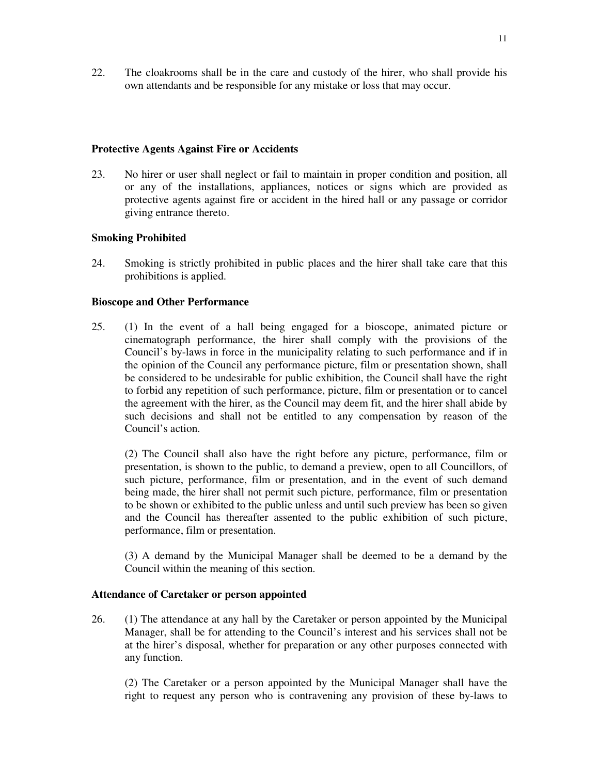22. The cloakrooms shall be in the care and custody of the hirer, who shall provide his own attendants and be responsible for any mistake or loss that may occur.

# **Protective Agents Against Fire or Accidents**

23. No hirer or user shall neglect or fail to maintain in proper condition and position, all or any of the installations, appliances, notices or signs which are provided as protective agents against fire or accident in the hired hall or any passage or corridor giving entrance thereto.

# **Smoking Prohibited**

24. Smoking is strictly prohibited in public places and the hirer shall take care that this prohibitions is applied.

# **Bioscope and Other Performance**

25. (1) In the event of a hall being engaged for a bioscope, animated picture or cinematograph performance, the hirer shall comply with the provisions of the Council's by-laws in force in the municipality relating to such performance and if in the opinion of the Council any performance picture, film or presentation shown, shall be considered to be undesirable for public exhibition, the Council shall have the right to forbid any repetition of such performance, picture, film or presentation or to cancel the agreement with the hirer, as the Council may deem fit, and the hirer shall abide by such decisions and shall not be entitled to any compensation by reason of the Council's action.

(2) The Council shall also have the right before any picture, performance, film or presentation, is shown to the public, to demand a preview, open to all Councillors, of such picture, performance, film or presentation, and in the event of such demand being made, the hirer shall not permit such picture, performance, film or presentation to be shown or exhibited to the public unless and until such preview has been so given and the Council has thereafter assented to the public exhibition of such picture, performance, film or presentation.

(3) A demand by the Municipal Manager shall be deemed to be a demand by the Council within the meaning of this section.

#### **Attendance of Caretaker or person appointed**

26. (1) The attendance at any hall by the Caretaker or person appointed by the Municipal Manager, shall be for attending to the Council's interest and his services shall not be at the hirer's disposal, whether for preparation or any other purposes connected with any function.

(2) The Caretaker or a person appointed by the Municipal Manager shall have the right to request any person who is contravening any provision of these by-laws to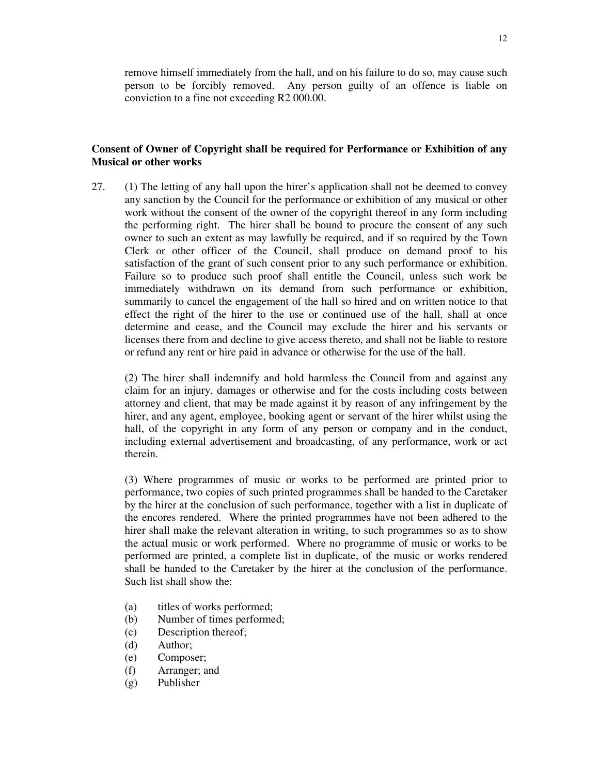remove himself immediately from the hall, and on his failure to do so, may cause such person to be forcibly removed. Any person guilty of an offence is liable on conviction to a fine not exceeding R2 000.00.

# **Consent of Owner of Copyright shall be required for Performance or Exhibition of any Musical or other works**

27. (1) The letting of any hall upon the hirer's application shall not be deemed to convey any sanction by the Council for the performance or exhibition of any musical or other work without the consent of the owner of the copyright thereof in any form including the performing right. The hirer shall be bound to procure the consent of any such owner to such an extent as may lawfully be required, and if so required by the Town Clerk or other officer of the Council, shall produce on demand proof to his satisfaction of the grant of such consent prior to any such performance or exhibition. Failure so to produce such proof shall entitle the Council, unless such work be immediately withdrawn on its demand from such performance or exhibition, summarily to cancel the engagement of the hall so hired and on written notice to that effect the right of the hirer to the use or continued use of the hall, shall at once determine and cease, and the Council may exclude the hirer and his servants or licenses there from and decline to give access thereto, and shall not be liable to restore or refund any rent or hire paid in advance or otherwise for the use of the hall.

(2) The hirer shall indemnify and hold harmless the Council from and against any claim for an injury, damages or otherwise and for the costs including costs between attorney and client, that may be made against it by reason of any infringement by the hirer, and any agent, employee, booking agent or servant of the hirer whilst using the hall, of the copyright in any form of any person or company and in the conduct, including external advertisement and broadcasting, of any performance, work or act therein.

(3) Where programmes of music or works to be performed are printed prior to performance, two copies of such printed programmes shall be handed to the Caretaker by the hirer at the conclusion of such performance, together with a list in duplicate of the encores rendered. Where the printed programmes have not been adhered to the hirer shall make the relevant alteration in writing, to such programmes so as to show the actual music or work performed. Where no programme of music or works to be performed are printed, a complete list in duplicate, of the music or works rendered shall be handed to the Caretaker by the hirer at the conclusion of the performance. Such list shall show the:

- (a) titles of works performed;
- (b) Number of times performed;
- (c) Description thereof;
- (d) Author;
- (e) Composer;
- (f) Arranger; and
- (g) Publisher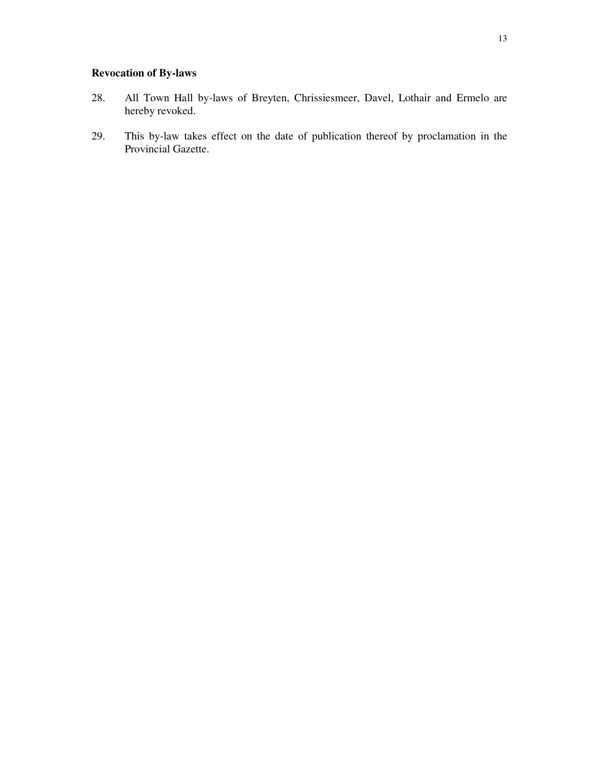# **Revocation of By-laws**

- 28. All Town Hall by-laws of Breyten, Chrissiesmeer, Davel, Lothair and Ermelo are hereby revoked.
- 29. This by-law takes effect on the date of publication thereof by proclamation in the Provincial Gazette.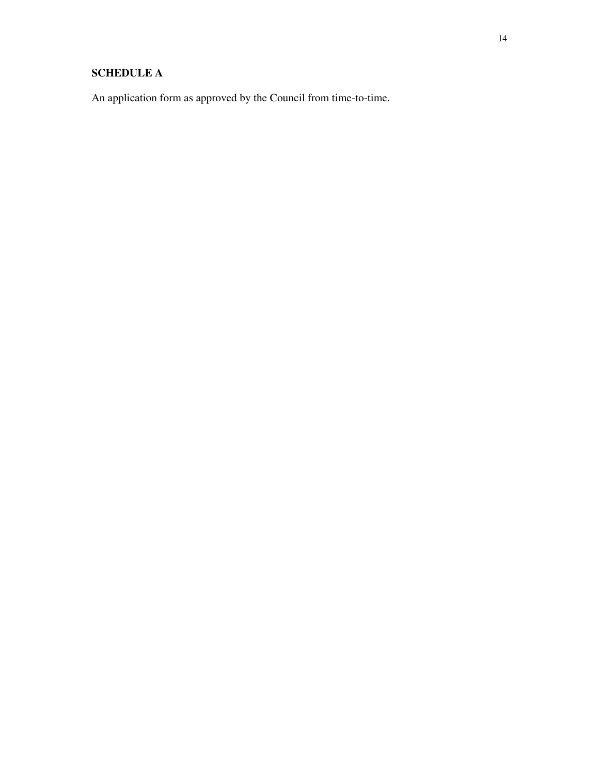# **SCHEDULE A**

An application form as approved by the Council from time-to-time.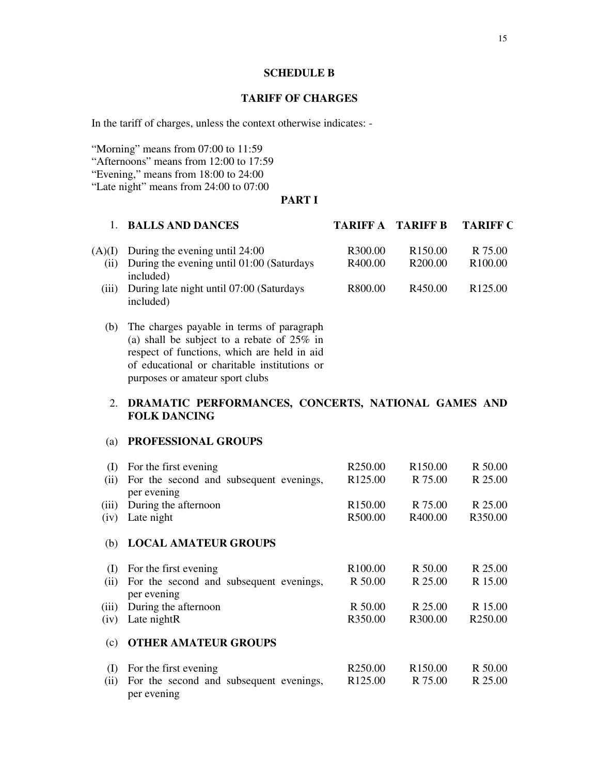# **SCHEDULE B**

## **TARIFF OF CHARGES**

In the tariff of charges, unless the context otherwise indicates: -

"Morning" means from 07:00 to 11:59 "Afternoons" means from 12:00 to 17:59 "Evening," means from 18:00 to 24:00

"Late night" means from 24:00 to 07:00

# **PART I**

|        | <b>BALLS AND DANCES</b>                                | <b>TARIFF A TARIFF B</b> |                     | <b>TARIFF C</b>     |
|--------|--------------------------------------------------------|--------------------------|---------------------|---------------------|
| (A)(I) | During the evening until 24:00                         | R <sub>3</sub> 00.00     | R <sub>150.00</sub> | R 75.00             |
| (i)    | During the evening until 01:00 (Saturdays<br>included) | R400.00                  | R <sub>200.00</sub> | R <sub>100.00</sub> |
| (iii)  | During late night until 07:00 (Saturdays<br>included)  | R800.00                  | R <sub>450.00</sub> | R <sub>125.00</sub> |
| (h)    | The charges navable in terms of naragraph              |                          |                     |                     |

(b) The charges payable in terms of paragraph (a) shall be subject to a rebate of 25% in respect of functions, which are held in aid of educational or charitable institutions or purposes or amateur sport clubs

# 2. **DRAMATIC PERFORMANCES, CONCERTS, NATIONAL GAMES AND FOLK DANCING**

# (a) **PROFESSIONAL GROUPS**

| (I)   | For the first evening                                  | R <sub>250.00</sub> | R <sub>150.00</sub> | R 50.00             |
|-------|--------------------------------------------------------|---------------------|---------------------|---------------------|
| (ii)  | For the second and subsequent evenings,<br>per evening | R <sub>125.00</sub> | R 75.00             | R 25.00             |
| (iii) | During the afternoon                                   | R <sub>150.00</sub> | R 75.00             | R 25.00             |
| (iv)  | Late night                                             | R500.00             | R400.00             | R350.00             |
| (b)   | <b>LOCAL AMATEUR GROUPS</b>                            |                     |                     |                     |
| (I)   | For the first evening                                  | R <sub>100.00</sub> | R 50.00             | R 25.00             |
| (i)   | For the second and subsequent evenings,<br>per evening | R 50.00             | R 25.00             | R 15.00             |
| (iii) | During the afternoon                                   | R 50.00             | R 25.00             | R 15.00             |
| (iv)  | Late nightR                                            | R350.00             | R300.00             | R <sub>250.00</sub> |
| (c)   | <b>OTHER AMATEUR GROUPS</b>                            |                     |                     |                     |
| (I)   | For the first evening                                  | R <sub>250.00</sub> | R <sub>150.00</sub> | R 50.00             |
| (ii)  | For the second and subsequent evenings,<br>per evening | R <sub>125.00</sub> | R 75.00             | R 25.00             |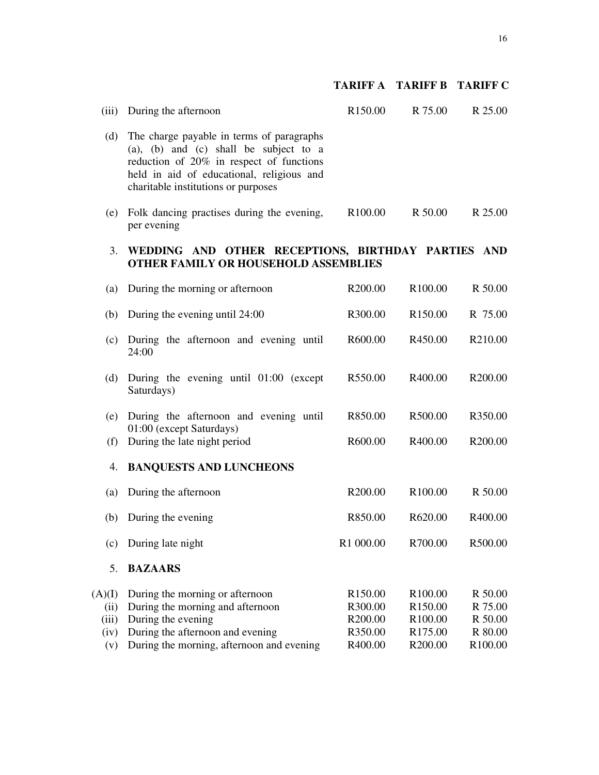# **TARIFF A TARIFF B TARIFF C**

| The charge payable in terms of paragraphs<br>(d)<br>(a), (b) and (c) shall be subject to a<br>reduction of 20% in respect of functions<br>held in aid of educational, religious and<br>charitable institutions or purposes<br>(e) Folk dancing practises during the evening,<br>R 50.00<br>R <sub>100.00</sub><br>per evening<br>3.<br>WEDDING AND OTHER RECEPTIONS, BIRTHDAY PARTIES AND<br><b>OTHER FAMILY OR HOUSEHOLD ASSEMBLIES</b><br>R <sub>100.00</sub><br>During the morning or afternoon<br>R200.00<br>(a)<br>During the evening until 24:00<br>R300.00<br>R <sub>150.00</sub><br>(b)<br>(c) During the afternoon and evening until<br>R600.00<br>R450.00<br>24:00<br>During the evening until $01:00$ (except<br>R550.00<br>R400.00<br>(d)<br>Saturdays)<br>R500.00<br>During the afternoon and evening until<br>R850.00<br>(e)<br>01:00 (except Saturdays)<br>During the late night period<br>R600.00<br>R400.00<br>(f)<br><b>BANQUESTS AND LUNCHEONS</b><br>4.<br>R200.00<br>R <sub>100.00</sub><br>During the afternoon<br>(a)<br>During the evening<br>R850.00<br>R620.00<br>(b)<br>(c) During late night<br>R1 000.00<br>R700.00<br>5.<br><b>BAZAARS</b><br>During the morning or afternoon<br>R <sub>150.00</sub><br>R100.00<br>(A)(I)<br>During the morning and afternoon<br>R300.00<br>R <sub>150.00</sub><br>(ii)<br>During the evening<br>R200.00<br>R100.00<br>(iii)<br>During the afternoon and evening<br>R350.00<br>R <sub>175.00</sub><br>(iv)<br>During the morning, afternoon and evening<br>R400.00<br>R <sub>200.00</sub><br>(v) | (iii) | During the afternoon | R150.00 | R 75.00 | R 25.00                                                         |
|----------------------------------------------------------------------------------------------------------------------------------------------------------------------------------------------------------------------------------------------------------------------------------------------------------------------------------------------------------------------------------------------------------------------------------------------------------------------------------------------------------------------------------------------------------------------------------------------------------------------------------------------------------------------------------------------------------------------------------------------------------------------------------------------------------------------------------------------------------------------------------------------------------------------------------------------------------------------------------------------------------------------------------------------------------------------------------------------------------------------------------------------------------------------------------------------------------------------------------------------------------------------------------------------------------------------------------------------------------------------------------------------------------------------------------------------------------------------------------------------------------------------------------------------------------------|-------|----------------------|---------|---------|-----------------------------------------------------------------|
|                                                                                                                                                                                                                                                                                                                                                                                                                                                                                                                                                                                                                                                                                                                                                                                                                                                                                                                                                                                                                                                                                                                                                                                                                                                                                                                                                                                                                                                                                                                                                                |       |                      |         |         |                                                                 |
|                                                                                                                                                                                                                                                                                                                                                                                                                                                                                                                                                                                                                                                                                                                                                                                                                                                                                                                                                                                                                                                                                                                                                                                                                                                                                                                                                                                                                                                                                                                                                                |       |                      |         |         | R 25.00                                                         |
|                                                                                                                                                                                                                                                                                                                                                                                                                                                                                                                                                                                                                                                                                                                                                                                                                                                                                                                                                                                                                                                                                                                                                                                                                                                                                                                                                                                                                                                                                                                                                                |       |                      |         |         |                                                                 |
|                                                                                                                                                                                                                                                                                                                                                                                                                                                                                                                                                                                                                                                                                                                                                                                                                                                                                                                                                                                                                                                                                                                                                                                                                                                                                                                                                                                                                                                                                                                                                                |       |                      |         |         | R 50.00                                                         |
|                                                                                                                                                                                                                                                                                                                                                                                                                                                                                                                                                                                                                                                                                                                                                                                                                                                                                                                                                                                                                                                                                                                                                                                                                                                                                                                                                                                                                                                                                                                                                                |       |                      |         |         | R 75.00                                                         |
|                                                                                                                                                                                                                                                                                                                                                                                                                                                                                                                                                                                                                                                                                                                                                                                                                                                                                                                                                                                                                                                                                                                                                                                                                                                                                                                                                                                                                                                                                                                                                                |       |                      |         |         | R210.00                                                         |
|                                                                                                                                                                                                                                                                                                                                                                                                                                                                                                                                                                                                                                                                                                                                                                                                                                                                                                                                                                                                                                                                                                                                                                                                                                                                                                                                                                                                                                                                                                                                                                |       |                      |         |         | R200.00                                                         |
|                                                                                                                                                                                                                                                                                                                                                                                                                                                                                                                                                                                                                                                                                                                                                                                                                                                                                                                                                                                                                                                                                                                                                                                                                                                                                                                                                                                                                                                                                                                                                                |       |                      |         |         | R350.00                                                         |
|                                                                                                                                                                                                                                                                                                                                                                                                                                                                                                                                                                                                                                                                                                                                                                                                                                                                                                                                                                                                                                                                                                                                                                                                                                                                                                                                                                                                                                                                                                                                                                |       |                      |         |         | R200.00                                                         |
|                                                                                                                                                                                                                                                                                                                                                                                                                                                                                                                                                                                                                                                                                                                                                                                                                                                                                                                                                                                                                                                                                                                                                                                                                                                                                                                                                                                                                                                                                                                                                                |       |                      |         |         |                                                                 |
|                                                                                                                                                                                                                                                                                                                                                                                                                                                                                                                                                                                                                                                                                                                                                                                                                                                                                                                                                                                                                                                                                                                                                                                                                                                                                                                                                                                                                                                                                                                                                                |       |                      |         |         | R 50.00                                                         |
|                                                                                                                                                                                                                                                                                                                                                                                                                                                                                                                                                                                                                                                                                                                                                                                                                                                                                                                                                                                                                                                                                                                                                                                                                                                                                                                                                                                                                                                                                                                                                                |       |                      |         |         | R400.00                                                         |
|                                                                                                                                                                                                                                                                                                                                                                                                                                                                                                                                                                                                                                                                                                                                                                                                                                                                                                                                                                                                                                                                                                                                                                                                                                                                                                                                                                                                                                                                                                                                                                |       |                      |         |         | R500.00                                                         |
|                                                                                                                                                                                                                                                                                                                                                                                                                                                                                                                                                                                                                                                                                                                                                                                                                                                                                                                                                                                                                                                                                                                                                                                                                                                                                                                                                                                                                                                                                                                                                                |       |                      |         |         |                                                                 |
|                                                                                                                                                                                                                                                                                                                                                                                                                                                                                                                                                                                                                                                                                                                                                                                                                                                                                                                                                                                                                                                                                                                                                                                                                                                                                                                                                                                                                                                                                                                                                                |       |                      |         |         | R 50.00<br>R 75.00<br>R 50.00<br>R 80.00<br>R <sub>100.00</sub> |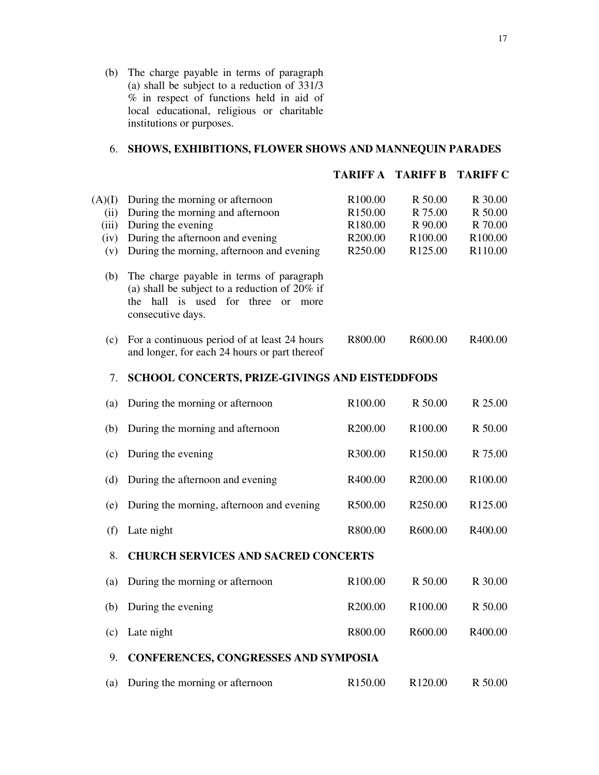(b) The charge payable in terms of paragraph (a) shall be subject to a reduction of  $\frac{331}{3}$ % in respect of functions held in aid of local educational, religious or charitable institutions or purposes.

# 6. **SHOWS, EXHIBITIONS, FLOWER SHOWS AND MANNEQUIN PARADES**

|                                        |                                                                                                                                                                             | <b>TARIFF A TARIFF B</b>                                                                |                                                                             | <b>TARIFF C</b>                                     |
|----------------------------------------|-----------------------------------------------------------------------------------------------------------------------------------------------------------------------------|-----------------------------------------------------------------------------------------|-----------------------------------------------------------------------------|-----------------------------------------------------|
| (A)(I)<br>(ii)<br>(iii)<br>(iv)<br>(v) | During the morning or afternoon<br>During the morning and afternoon<br>During the evening<br>During the afternoon and evening<br>During the morning, afternoon and evening  | R <sub>100.00</sub><br>R <sub>150.00</sub><br>R <sub>180.00</sub><br>R200.00<br>R250.00 | R 50.00<br>R 75.00<br>R 90.00<br>R <sub>100.00</sub><br>R <sub>125.00</sub> | R 30.00<br>R 50.00<br>R 70.00<br>R100.00<br>R110.00 |
| (b)                                    | The charge payable in terms of paragraph<br>(a) shall be subject to a reduction of $20\%$ if<br>hall is used for three<br>the<br><sub>or</sub><br>more<br>consecutive days. |                                                                                         |                                                                             |                                                     |
| (c)                                    | For a continuous period of at least 24 hours<br>and longer, for each 24 hours or part thereof                                                                               | R800.00                                                                                 | R600.00                                                                     | R400.00                                             |
| 7.                                     | <b>SCHOOL CONCERTS, PRIZE-GIVINGS AND EISTEDDFODS</b>                                                                                                                       |                                                                                         |                                                                             |                                                     |
| (a)                                    | During the morning or afternoon                                                                                                                                             | R100.00                                                                                 | R 50.00                                                                     | R 25.00                                             |
| (b)                                    | During the morning and afternoon                                                                                                                                            | R200.00                                                                                 | R100.00                                                                     | R 50.00                                             |
| (c)                                    | During the evening                                                                                                                                                          | R300.00                                                                                 | R <sub>150.00</sub>                                                         | R 75.00                                             |
| (d)                                    | During the afternoon and evening                                                                                                                                            | R400.00                                                                                 | R <sub>200.00</sub>                                                         | R <sub>100.00</sub>                                 |
| (e)                                    | During the morning, afternoon and evening                                                                                                                                   | R500.00                                                                                 | R <sub>250.00</sub>                                                         | R <sub>125.00</sub>                                 |
| (f)                                    | Late night                                                                                                                                                                  | R800.00                                                                                 | R600.00                                                                     | R400.00                                             |
| 8.                                     | <b>CHURCH SERVICES AND SACRED CONCERTS</b>                                                                                                                                  |                                                                                         |                                                                             |                                                     |
| (a)                                    | During the morning or afternoon                                                                                                                                             | R100.00                                                                                 | R 50.00                                                                     | R 30.00                                             |
|                                        | (b) During the evening                                                                                                                                                      | R200.00                                                                                 | R <sub>100.00</sub>                                                         | R 50.00                                             |
| (c)                                    | Late night                                                                                                                                                                  | R800.00                                                                                 | R600.00                                                                     | R400.00                                             |
| 9.                                     | <b>CONFERENCES, CONGRESSES AND SYMPOSIA</b>                                                                                                                                 |                                                                                         |                                                                             |                                                     |
| (a)                                    | During the morning or afternoon                                                                                                                                             | R150.00                                                                                 | R120.00                                                                     | R 50.00                                             |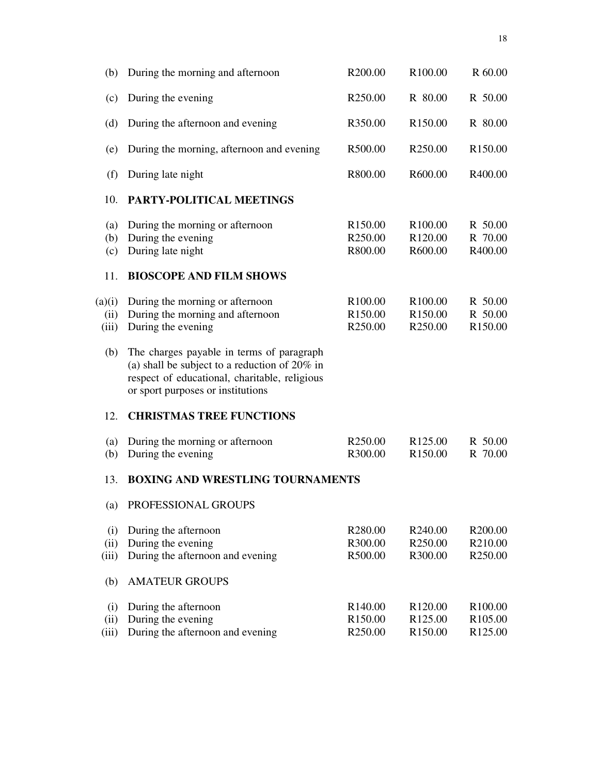| (b)                     | During the morning and afternoon                                                                                                                                                    | R <sub>200.00</sub>                                               | R100.00                                                           | R 60.00                                                           |
|-------------------------|-------------------------------------------------------------------------------------------------------------------------------------------------------------------------------------|-------------------------------------------------------------------|-------------------------------------------------------------------|-------------------------------------------------------------------|
| (c)                     | During the evening                                                                                                                                                                  | R <sub>250.00</sub>                                               | R 80.00                                                           | R 50.00                                                           |
| (d)                     | During the afternoon and evening                                                                                                                                                    | R350.00                                                           | R <sub>150.00</sub>                                               | R 80.00                                                           |
| (e)                     | During the morning, afternoon and evening                                                                                                                                           | R500.00                                                           | R <sub>250.00</sub>                                               | R <sub>150.00</sub>                                               |
| (f)                     | During late night                                                                                                                                                                   | R800.00                                                           | R600.00                                                           | R400.00                                                           |
| 10.                     | PARTY-POLITICAL MEETINGS                                                                                                                                                            |                                                                   |                                                                   |                                                                   |
| (a)<br>(b)<br>(c)       | During the morning or afternoon<br>During the evening<br>During late night                                                                                                          | R <sub>150.00</sub><br>R <sub>250.00</sub><br>R800.00             | R <sub>100.00</sub><br>R <sub>120.00</sub><br>R600.00             | R 50.00<br>R 70.00<br>R400.00                                     |
| 11.                     | <b>BIOSCOPE AND FILM SHOWS</b>                                                                                                                                                      |                                                                   |                                                                   |                                                                   |
| (a)(i)<br>(ii)<br>(iii) | During the morning or afternoon<br>During the morning and afternoon<br>During the evening                                                                                           | R <sub>100.00</sub><br>R <sub>150.00</sub><br>R <sub>250.00</sub> | R <sub>100.00</sub><br>R <sub>150.00</sub><br>R <sub>250.00</sub> | R 50.00<br>R 50.00<br>R <sub>150.00</sub>                         |
| (b)                     | The charges payable in terms of paragraph<br>(a) shall be subject to a reduction of $20\%$ in<br>respect of educational, charitable, religious<br>or sport purposes or institutions |                                                                   |                                                                   |                                                                   |
| 12.                     | <b>CHRISTMAS TREE FUNCTIONS</b>                                                                                                                                                     |                                                                   |                                                                   |                                                                   |
| (a)<br>(b)              | During the morning or afternoon<br>During the evening                                                                                                                               | R <sub>250.00</sub><br>R300.00                                    | R <sub>125.00</sub><br>R <sub>150.00</sub>                        | R 50.00<br>R 70.00                                                |
| 13.                     | <b>BOXING AND WRESTLING TOURNAMENTS</b>                                                                                                                                             |                                                                   |                                                                   |                                                                   |
| (a)                     | PROFESSIONAL GROUPS                                                                                                                                                                 |                                                                   |                                                                   |                                                                   |
| (i)<br>(ii)<br>(iii)    | During the afternoon<br>During the evening<br>During the afternoon and evening                                                                                                      | R <sub>280.00</sub><br>R300.00<br>R500.00                         | R240.00<br>R <sub>250.00</sub><br>R300.00                         | R200.00<br>R210.00<br>R250.00                                     |
| (b)                     | <b>AMATEUR GROUPS</b>                                                                                                                                                               |                                                                   |                                                                   |                                                                   |
| (i)<br>(ii)<br>(iii)    | During the afternoon<br>During the evening<br>During the afternoon and evening                                                                                                      | R <sub>140.00</sub><br>R <sub>150.00</sub><br>R250.00             | R <sub>120.00</sub><br>R <sub>125.00</sub><br>R <sub>150.00</sub> | R <sub>100.00</sub><br>R <sub>105.00</sub><br>R <sub>125.00</sub> |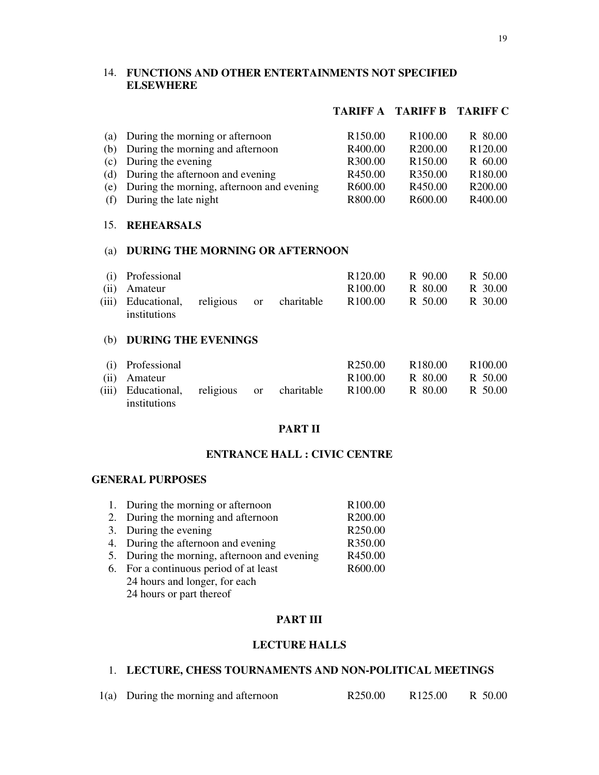# 14. **FUNCTIONS AND OTHER ENTERTAINMENTS NOT SPECIFIED ELSEWHERE**

# **TARIFF A TARIFF B TARIFF C**

| (a) During the morning or afternoon           | R <sub>150.00</sub> | R <sub>100.00</sub> | R 80.00             |
|-----------------------------------------------|---------------------|---------------------|---------------------|
| (b) During the morning and afternoon          | R400.00             | R <sub>200.00</sub> | R <sub>120.00</sub> |
| (c) During the evening                        | R300.00             | R <sub>150.00</sub> | R 60.00             |
| (d) During the afternoon and evening          | R450.00             | R350.00             | R <sub>180.00</sub> |
| (e) During the morning, afternoon and evening | R600.00             | R450.00             | R <sub>200.00</sub> |
| (f) During the late night                     | R800.00             | R600.00             | R400.00             |
|                                               |                     |                     |                     |

#### 15. **REHEARSALS**

# (a) **DURING THE MORNING OR AFTERNOON**

| (i) Professional                           |  | R <sub>120.00</sub> | R 90.00 | R 50.00 |
|--------------------------------------------|--|---------------------|---------|---------|
| (ii) Amateur                               |  | R <sub>100.00</sub> | R 80.00 | R 30.00 |
| (iii) Educational, religious or charitable |  | R <sub>100.00</sub> | R 50.00 | R 30.00 |
| institutions                               |  |                     |         |         |

# (b) **DURING THE EVENINGS**

| (i) Professional                                           |  | R <sub>250.00</sub> | R <sub>180.00</sub> | R <sub>100.00</sub> |
|------------------------------------------------------------|--|---------------------|---------------------|---------------------|
| (ii) Amateur                                               |  | R <sub>100.00</sub> | R 80.00             | R 50.00             |
| (iii) Educational, religious or charitable<br>institutions |  | R100.00             | R 80.00             | R 50.00             |

# **PART II**

# **ENTRANCE HALL : CIVIC CENTRE**

# **GENERAL PURPOSES**

| 1. During the morning or afternoon           | R <sub>100.00</sub> |
|----------------------------------------------|---------------------|
| 2. During the morning and afternoon          | R200.00             |
| 3. During the evening                        | R250.00             |
| 4. During the afternoon and evening          | R350.00             |
| 5. During the morning, afternoon and evening | R450.00             |
| 6. For a continuous period of at least       | R600.00             |
| 24 hours and longer, for each                |                     |
| 24 hours or part thereof                     |                     |

# **PART III**

# **LECTURE HALLS**

# 1. **LECTURE, CHESS TOURNAMENTS AND NON-POLITICAL MEETINGS**

 $1(a)$  During the morning and afternoon R250.00 R125.00 R 50.00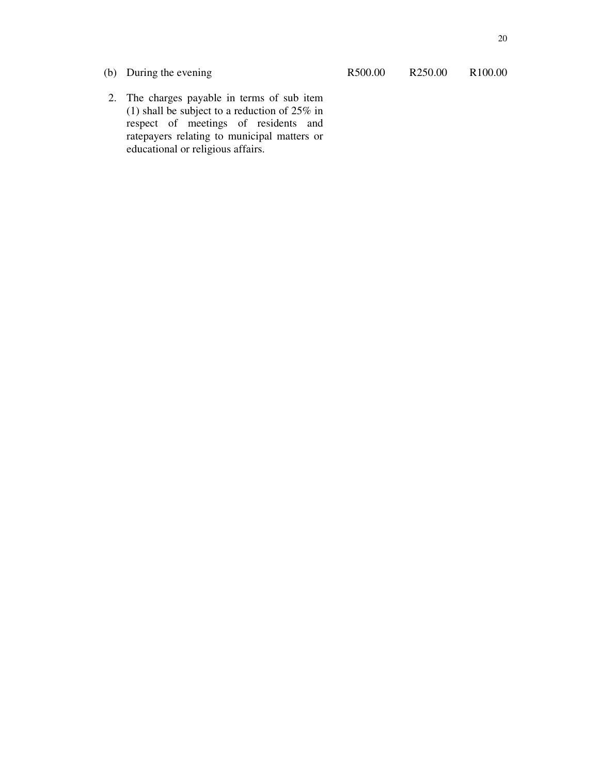(b) During the evening R500.00 R250.00 R100.00

2. The charges payable in terms of sub item (1) shall be subject to a reduction of  $25\%$  in respect of meetings of residents and ratepayers relating to municipal matters or educational or religious affairs.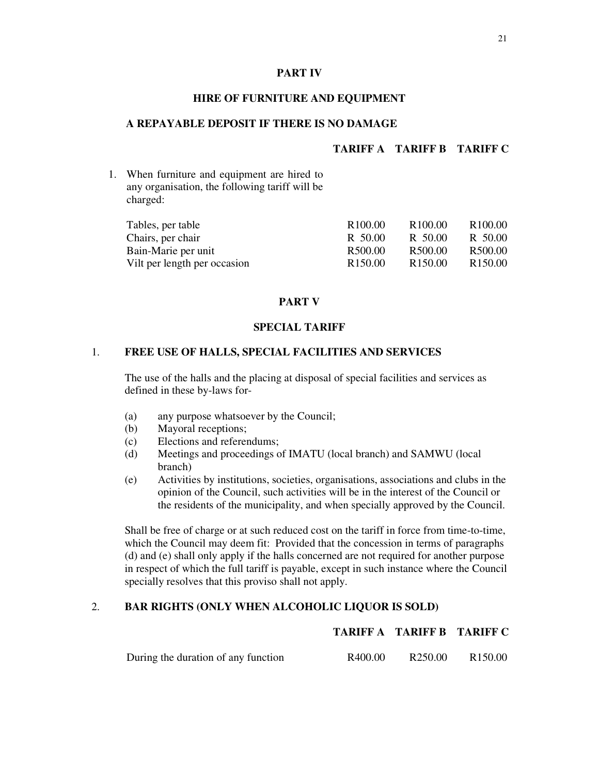#### **PART IV**

## **HIRE OF FURNITURE AND EQUIPMENT**

# **A REPAYABLE DEPOSIT IF THERE IS NO DAMAGE**

# **TARIFF A TARIFF B TARIFF C**

1. When furniture and equipment are hired to any organisation, the following tariff will be charged:

| Tables, per table            | R <sub>100.00</sub> | R <sub>100.00</sub> | R <sub>100.00</sub> |
|------------------------------|---------------------|---------------------|---------------------|
| Chairs, per chair            | R 50.00             | R 50.00             | R 50.00             |
| Bain-Marie per unit          | R <sub>500.00</sub> | R <sub>500.00</sub> | R500.00             |
| Vilt per length per occasion | R <sub>150.00</sub> | R <sub>150.00</sub> | R <sub>150.00</sub> |

# **PART V**

#### **SPECIAL TARIFF**

# 1. **FREE USE OF HALLS, SPECIAL FACILITIES AND SERVICES**

The use of the halls and the placing at disposal of special facilities and services as defined in these by-laws for-

- (a) any purpose whatsoever by the Council;
- (b) Mayoral receptions;
- (c) Elections and referendums;
- (d) Meetings and proceedings of IMATU (local branch) and SAMWU (local branch)
- (e) Activities by institutions, societies, organisations, associations and clubs in the opinion of the Council, such activities will be in the interest of the Council or the residents of the municipality, and when specially approved by the Council.

Shall be free of charge or at such reduced cost on the tariff in force from time-to-time, which the Council may deem fit: Provided that the concession in terms of paragraphs (d) and (e) shall only apply if the halls concerned are not required for another purpose in respect of which the full tariff is payable, except in such instance where the Council specially resolves that this proviso shall not apply.

# 2. **BAR RIGHTS (ONLY WHEN ALCOHOLIC LIQUOR IS SOLD)**

# **TARIFF A TARIFF B TARIFF C**

During the duration of any function R400.00 R250.00 R150.00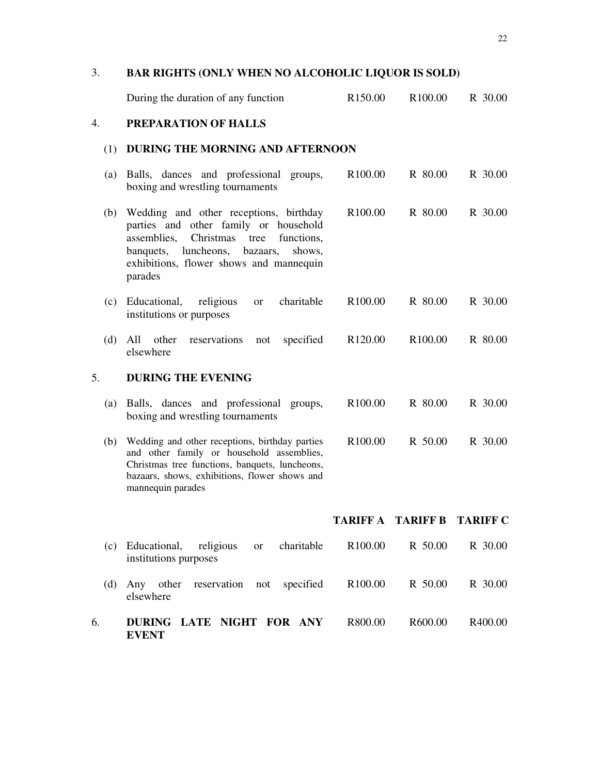# 3. **BAR RIGHTS (ONLY WHEN NO ALCOHOLIC LIQUOR IS SOLD)**

|     | During the duration of any function                                                                                                                                                                                                      | R <sub>150.00</sub> | R100.00             | R 30.00         |
|-----|------------------------------------------------------------------------------------------------------------------------------------------------------------------------------------------------------------------------------------------|---------------------|---------------------|-----------------|
| 4.  | PREPARATION OF HALLS                                                                                                                                                                                                                     |                     |                     |                 |
| (1) | DURING THE MORNING AND AFTERNOON                                                                                                                                                                                                         |                     |                     |                 |
| (a) | Balls, dances and professional groups,<br>boxing and wrestling tournaments                                                                                                                                                               | R <sub>100.00</sub> | R 80.00             | R 30.00         |
| (b) | Wedding and other receptions, birthday<br>parties and other family or household<br>Christmas<br>functions,<br>assemblies,<br>tree<br>luncheons,<br>shows.<br>banquets,<br>bazaars,<br>exhibitions, flower shows and mannequin<br>parades | R <sub>100.00</sub> | R 80.00             | R 30.00         |
| (c) | charitable<br>Educational,<br>religious<br><b>or</b><br>institutions or purposes                                                                                                                                                         | R <sub>100.00</sub> | R 80.00             | R 30.00         |
| (d) | All<br>other<br>reservations<br>specified<br>not<br>elsewhere                                                                                                                                                                            | R <sub>120.00</sub> | R <sub>100.00</sub> | R 80.00         |
| 5.  | <b>DURING THE EVENING</b>                                                                                                                                                                                                                |                     |                     |                 |
| (a) | Balls, dances and professional groups,<br>boxing and wrestling tournaments                                                                                                                                                               | R100.00             | R 80.00             | R 30.00         |
|     |                                                                                                                                                                                                                                          |                     |                     |                 |
| (b) | Wedding and other receptions, birthday parties<br>and other family or household assemblies,<br>Christmas tree functions, banquets, luncheons,<br>bazaars, shows, exhibitions, flower shows and<br>mannequin parades                      | R <sub>100.00</sub> | R 50.00             | R 30.00         |
|     |                                                                                                                                                                                                                                          | TARIFF A            | <b>TARIFF B</b>     | <b>TARIFF C</b> |
| (c) | Educational, religious<br>charitable<br><sub>or</sub><br>institutions purposes                                                                                                                                                           | R <sub>100.00</sub> | R 50.00             | R 30.00         |
| (d) | Any other<br>reservation not<br>specified<br>elsewhere                                                                                                                                                                                   | R <sub>100.00</sub> | R 50.00             | R 30.00         |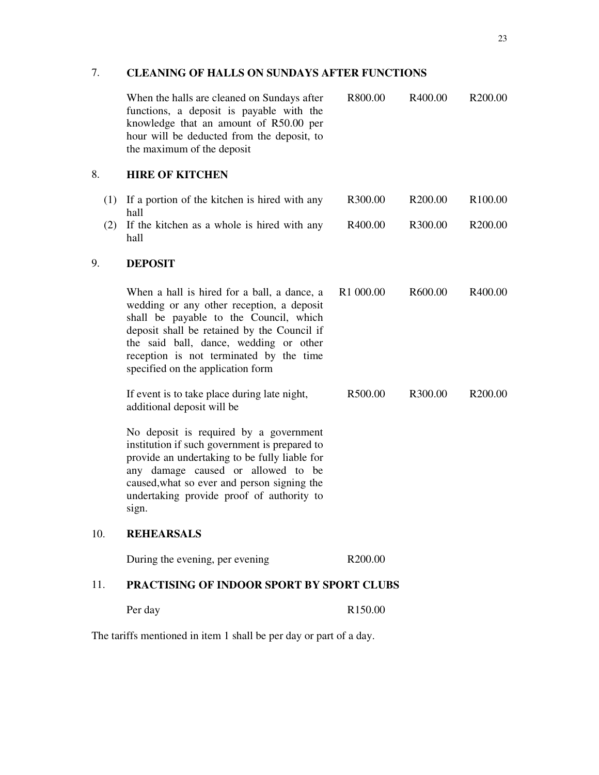# 7. **CLEANING OF HALLS ON SUNDAYS AFTER FUNCTIONS**

|     | When the halls are cleaned on Sundays after<br>functions, a deposit is payable with the<br>knowledge that an amount of R50.00 per<br>hour will be deducted from the deposit, to<br>the maximum of the deposit                                                                                               | R800.00               | R400.00             | R <sub>200.00</sub> |
|-----|-------------------------------------------------------------------------------------------------------------------------------------------------------------------------------------------------------------------------------------------------------------------------------------------------------------|-----------------------|---------------------|---------------------|
| 8.  | <b>HIRE OF KITCHEN</b>                                                                                                                                                                                                                                                                                      |                       |                     |                     |
|     | (1) If a portion of the kitchen is hired with any<br>hall                                                                                                                                                                                                                                                   | R300.00               | R <sub>200.00</sub> | R <sub>100.00</sub> |
| (2) | If the kitchen as a whole is hired with any<br>hall                                                                                                                                                                                                                                                         | R400.00               | R300.00             | R <sub>200.00</sub> |
| 9.  | <b>DEPOSIT</b>                                                                                                                                                                                                                                                                                              |                       |                     |                     |
|     | When a hall is hired for a ball, a dance, a<br>wedding or any other reception, a deposit<br>shall be payable to the Council, which<br>deposit shall be retained by the Council if<br>the said ball, dance, wedding or other<br>reception is not terminated by the time<br>specified on the application form | R <sub>1</sub> 000.00 | R600.00             | R400.00             |
|     | If event is to take place during late night,<br>additional deposit will be                                                                                                                                                                                                                                  | R500.00               | R300.00             | R <sub>200.00</sub> |
|     | No deposit is required by a government<br>institution if such government is prepared to<br>provide an undertaking to be fully liable for<br>any damage caused or allowed to be<br>caused, what so ever and person signing the<br>undertaking provide proof of authority to<br>sign.                         |                       |                     |                     |
| 10. | <b>REHEARSALS</b>                                                                                                                                                                                                                                                                                           |                       |                     |                     |
|     | During the evening, per evening                                                                                                                                                                                                                                                                             | R200.00               |                     |                     |
| 11. | PRACTISING OF INDOOR SPORT BY SPORT CLUBS                                                                                                                                                                                                                                                                   |                       |                     |                     |
|     | Per day                                                                                                                                                                                                                                                                                                     | R <sub>150.00</sub>   |                     |                     |

The tariffs mentioned in item 1 shall be per day or part of a day.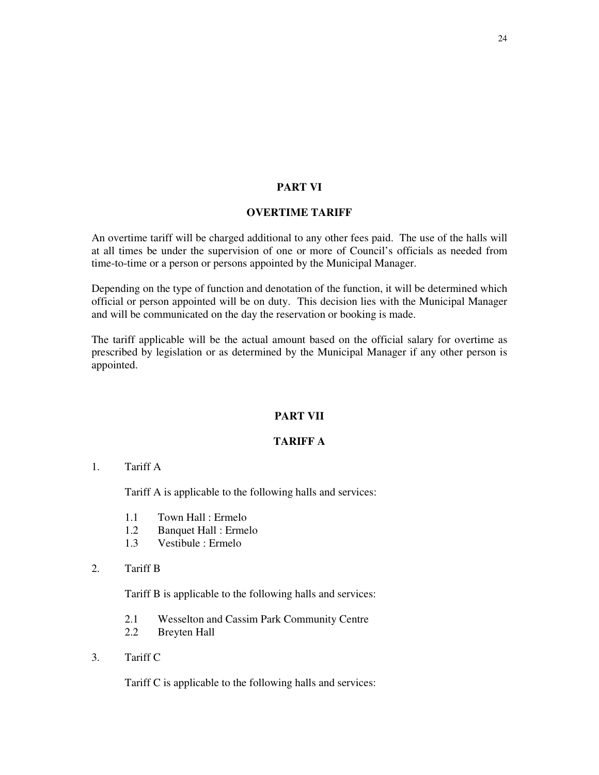# **PART VI**

# **OVERTIME TARIFF**

An overtime tariff will be charged additional to any other fees paid. The use of the halls will at all times be under the supervision of one or more of Council's officials as needed from time-to-time or a person or persons appointed by the Municipal Manager.

Depending on the type of function and denotation of the function, it will be determined which official or person appointed will be on duty. This decision lies with the Municipal Manager and will be communicated on the day the reservation or booking is made.

The tariff applicable will be the actual amount based on the official salary for overtime as prescribed by legislation or as determined by the Municipal Manager if any other person is appointed.

# **PART VII**

# **TARIFF A**

1. Tariff A

Tariff A is applicable to the following halls and services:

- 1.1 Town Hall : Ermelo
- 1.2 Banquet Hall : Ermelo
- 1.3 Vestibule : Ermelo
- 2. Tariff B

Tariff B is applicable to the following halls and services:

- 2.1 Wesselton and Cassim Park Community Centre
- 2.2 Breyten Hall
- 3. Tariff C

Tariff C is applicable to the following halls and services: